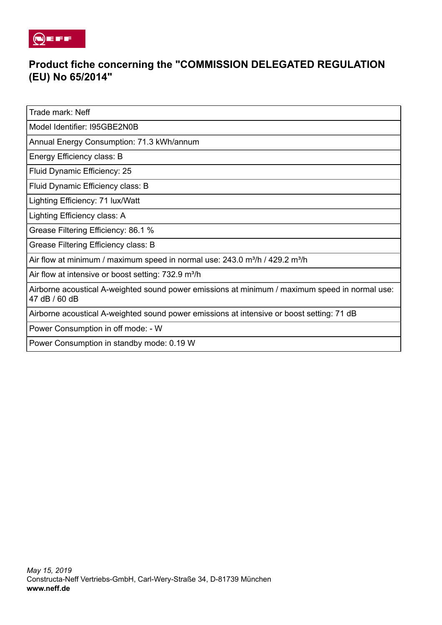

## **Product fiche concerning the "COMMISSION DELEGATED REGULATION (EU) No 65/2014"**

Trade mark: Neff

Model Identifier: I95GBE2N0B

Annual Energy Consumption: 71.3 kWh/annum

Energy Efficiency class: B

Fluid Dynamic Efficiency: 25

Fluid Dynamic Efficiency class: B

Lighting Efficiency: 71 lux/Watt

Lighting Efficiency class: A

Grease Filtering Efficiency: 86.1 %

Grease Filtering Efficiency class: B

Air flow at minimum / maximum speed in normal use:  $243.0$  m<sup>3</sup>/h /  $429.2$  m<sup>3</sup>/h

Air flow at intensive or boost setting: 732.9 m<sup>3</sup>/h

Airborne acoustical A-weighted sound power emissions at minimum / maximum speed in normal use: 47 dB / 60 dB

Airborne acoustical A-weighted sound power emissions at intensive or boost setting: 71 dB

Power Consumption in off mode: - W

Power Consumption in standby mode: 0.19 W